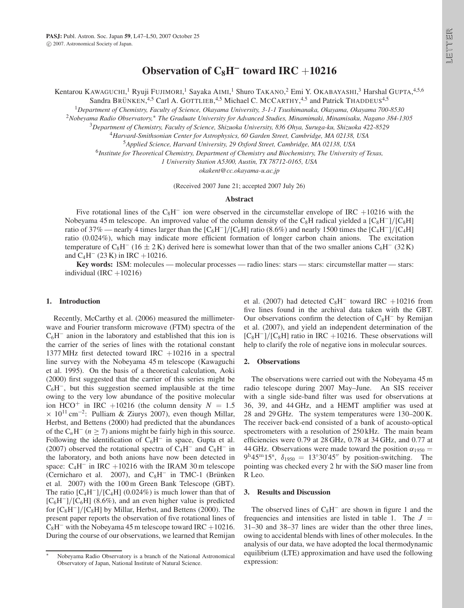Kentarou KAWAGUCHI,<sup>1</sup> Ryuji FUJIMORI,<sup>1</sup> Sayaka AIMI,<sup>1</sup> Shuro TAKANO,<sup>2</sup> Emi Y. OKABAYASHI,<sup>3</sup> Harshal GUPTA,<sup>4,5,6</sup>

Sandra BRÜNKEN,<sup>4,5</sup> Carl A. GOTTLIEB,<sup>4,5</sup> Michael C. MCCARTHY,<sup>4,5</sup> and Patrick THADDEUS<sup>4,5</sup>

<sup>1</sup>*Department of Chemistry, Faculty of Science, Okayama University, 3-1-1 Tsushimanaka, Okayama, Okayama 700-8530*

<sup>2</sup>Nobeyama Radio Observatory,\* The Graduate University for Advanced Studies, Minamimaki, Minamisaku, Nagano 384-1305

<sup>3</sup>*Department of Chemistry, Faculty of Science, Shizuoka University, 836 Ohya, Suruga-ku, Shizuoka 422-8529*

<sup>4</sup>*Harvard-Smithsonian Center for Astrophysics, 60 Garden Street, Cambridge, MA 02138, USA*

<sup>5</sup>*Applied Science, Harvard University, 29 Oxford Street, Cambridge, MA 02138, USA*

<sup>6</sup>*Institute for Theoretical Chemistry, Department of Chemistry and Biochemistry, The University of Texas,*

*1 University Station A5300, Austin, TX 78712-0165, USA*

*okakent@cc.okayama-u.ac.jp*

(Received 2007 June 21; accepted 2007 July 26)

## **Abstract**

Five rotational lines of the  $C_8H^-$  ion were observed in the circumstellar envelope of IRC +10216 with the Nobeyama 45 m telescope. An improved value of the column density of the C<sub>8</sub>H radical yielded a [C<sub>8</sub>H<sup>-</sup>]/[C<sub>8</sub>H] ratio of 37% — nearly 4 times larger than the  $[C_6H^-]/[C_6H]$  ratio (8.6%) and nearly 1500 times the  $[C_4H^-]/[C_4H]$ ratio (0.024%), which may indicate more efficient formation of longer carbon chain anions. The excitation temperature of C<sub>8</sub>H<sup>-</sup> (16  $\pm$  2 K) derived here is somewhat lower than that of the two smaller anions C<sub>6</sub>H<sup>-</sup> (32 K) and  $C_4H^-$  (23 K) in IRC +10216.

**Key words:** ISM: molecules — molecular processes — radio lines: stars — stars: circumstellar matter — stars: individual (IRC  $+10216$ )

### **1. Introduction**

Recently, McCarthy et al. (2006) measured the millimeterwave and Fourier transform microwave (FTM) spectra of the  $C_6H^-$  anion in the laboratory and established that this ion is the carrier of the series of lines with the rotational constant 1377 MHz first detected toward IRC  $+10216$  in a spectral line survey with the Nobeyama 45 m telescope (Kawaguchi et al. 1995). On the basis of a theoretical calculation, Aoki (2000) first suggested that the carrier of this series might be  $C_6H^{\dagger}$ , but this suggestion seemed implausible at the time owing to the very low abundance of the positive molecular ion HCO<sup>+</sup> in IRC +10216 (the column density  $N = 1.5$  $\times$  10<sup>11</sup> cm<sup>-2</sup>: Pulliam & Ziurys 2007), even though Millar,<br>Herbst, and Bettens (2000) had predicted that the abundances Herbst, and Bettens (2000) had predicted that the abundances of the  $C_nH^-(n \ge 7)$  anions might be fairly high in this source. Following the identification of  $C_6H^-$  in space, Gupta et al. (2007) observed the rotational spectra of  $C_4H^-$  and  $C_8H^-$  in the laboratory, and both anions have now been detected in space:  $C_4H^-$  in IRC +10216 with the IRAM 30 m telescope (Cernicharo et al. 2007), and  $C_8H^-$  in TMC-1 (Brünken et al. 2007) with the 100 m Green Bank Telescope (GBT). The ratio  $[C_4H^-]/[C_4H]$  (0.024%) is much lower than that of  $[C_6H^-]/[C_6H]$  (8.6%), and an even higher value is predicted for  $[C_8H^-]/[C_8H]$  by Millar, Herbst, and Bettens (2000). The present paper reports the observation of five rotational lines of  $C_8H^-$  with the Nobeyama 45 m telescope toward IRC +10216. During the course of our observations, we learned that Remijan

et al. (2007) had detected  $C_8H^-$  toward IRC +10216 from five lines found in the archival data taken with the GBT. Our observations confirm the detection of  $C_8H^-$  by Remijan et al. (2007), and yield an independent determination of the  $[C_8H^-]/[C_8H]$  ratio in IRC +10216. These observations will help to clarify the role of negative ions in molecular sources.

#### **2. Observations**

The observations were carried out with the Nobeyama 45 m radio telescope during 2007 May–June. An SIS receiver with a single side-band filter was used for observations at 36, 39, and 44 GHz, and a HEMT amplifier was used at 28 and 29 GHz. The system temperatures were 130–200 K. The receiver back-end consisted of a bank of acousto-optical spectrometers with a resolution of 250 kHz. The main beam efficiencies were 0.79 at 28 GHz, 0.78 at 34 GHz, and 0.77 at 44 GHz. Observations were made toward the position  $\alpha_{1950} =$  $9^{\text{h}}45^{\text{m}}15^{\text{s}}$ ,  $\delta_{1950} = 13^{\circ}30'45''$  by position-switching. The pointing was checked every 2 hr with the SiO maser line from R Leo.

#### **3. Results and Discussion**

The observed lines of  $C_8H^-$  are shown in figure 1 and the frequencies and intensities are listed in table 1. The  $J =$ 31–30 and 38–37 lines are wider than the other three lines, owing to accidental blends with lines of other molecules. In the analysis of our data, we have adopted the local thermodynamic equilibrium (LTE) approximation and have used the following expression:

Nobeyama Radio Observatory is a branch of the National Astronomical Observatory of Japan, National Institute of Natural Science.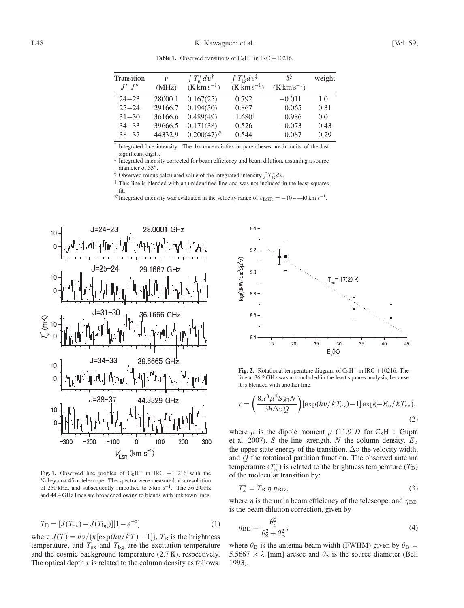| Transition<br>$J'$ - $J''$                                                                                  | $\mathcal{V}$<br>(MHz) | $\int T_a^* dv^{\dagger}$<br>$(K \, \rm km \, s^{-1})$ | $\int T_{\rm B}^* dv^{\ddagger}$<br>$(K \, \rm km \, s^{-1})$ | δŠ<br>$(K \, \text{km} \, \text{s}^{-1})$ | weight |  |  |  |
|-------------------------------------------------------------------------------------------------------------|------------------------|--------------------------------------------------------|---------------------------------------------------------------|-------------------------------------------|--------|--|--|--|
| $24 - 23$                                                                                                   | 28000.1                | 0.167(25)                                              | 0.792                                                         | $-0.011$                                  | 1.0    |  |  |  |
| $25 - 24$                                                                                                   | 29166.7                | 0.194(50)                                              | 0.867                                                         | 0.065                                     | 0.31   |  |  |  |
| $31 - 30$                                                                                                   | 36166.6                | 0.489(49)                                              | $1.680$ <sup>  </sup>                                         | 0.986                                     | 0.0    |  |  |  |
| $34 - 33$                                                                                                   | 39666.5                | 0.171(38)                                              | 0.526                                                         | $-0.073$                                  | 0.43   |  |  |  |
| $38 - 37$                                                                                                   | 44332.9                | $0.200(47)^{\#}$                                       | 0.544                                                         | 0.087                                     | 0.29   |  |  |  |
| <sup>†</sup> Integrated line intensity. The $1\sigma$ uncertainties in parentheses are in units of the last |                        |                                                        |                                                               |                                           |        |  |  |  |

**Table 1.** Observed transitions of  $C_8H^-$  in IRC +10216.

significant digits.

 $\frac{1}{4}$  Integrated intensity corrected for beam efficiency and beam dilution, assuming a source diameter of 33".

diameter of 33".<br>
S Observed minus calculated value of the integrated intensity  $\int T_{\rm B}^* dv$ .

 $\parallel$  This line is blended with an unidentified line and was not included in the least-squares fit.

#Integrated intensity was evaluated in the velocity range of  $v_{\rm LSR} = -10 - -40$  km s<sup>-1</sup>.



Fig. 1. Observed line profiles of  $C_8H^-$  in IRC +10216 with the Nobeyama 45 m telescope. The spectra were measured at a resolution of 250 kHz, and subsequently smoothed to  $3 \text{ km s}^{-1}$ . The 36.2 GHz and 44.4 GHz lines are broadened owing to blends with unknown lines.

$$
T_{\rm B} = [J(T_{\rm ex}) - J(T_{\rm bg})][1 - e^{-\tau}]
$$
\n(1)

where  $J(T) = \frac{hv}{k[\exp(hv/kT) - 1]}$ ,  $T_B$  is the brightness temperature, and  $T_{\text{ex}}$  and  $T_{\text{bg}}$  are the excitation temperature and the cosmic background temperature (2.7 K), respectively. The optical depth  $\tau$  is related to the column density as follows:



**Fig. 2.** Rotational temperature diagram of  $C_8H^-$  in IRC +10216. The line at 36.2 GHz was not included in the least squares analysis, because it is blended with another line.

$$
\tau = \left(\frac{8\pi^3\mu^2 S g_I N}{3h\Delta v Q}\right) [\exp(hv/kT_{\text{ex}}) - 1] \exp(-E_u/kT_{\text{ex}}). \tag{2}
$$

where  $\mu$  is the dipole moment  $\mu$  (11.9 D for C<sub>8</sub>H<sup>-</sup>: Gupta et al. 2007), S the line strength, N the column density,  $E_u$ the upper state energy of the transition,  $\Delta v$  the velocity width, and  $Q$  the rotational partition function. The observed antenna temperature  $(T_a^*)$  is related to the brightness temperature  $(T_B)$ <br>of the molecular transition by: of the molecular transition by:

$$
T_{\rm a}^* = T_{\rm B} \eta \eta_{\rm BD},\tag{3}
$$

where  $\eta$  is the main beam efficiency of the telescope, and  $\eta$ is the beam dilution correction, given by

$$
\eta_{\rm BD} = \frac{\theta_{\rm S}^2}{\theta_{\rm S}^2 + \theta_{\rm B}^2},\tag{4}
$$

where  $\theta_B^2 + \theta_B^2$ .<br>where  $\theta_B$  is the antenna beam width (FWHM) given by  $\theta_B =$ <br>5.5667  $\times$  1 [mm] grosses and  $\theta_B$  is the source diameter (Bell) 5.5667  $\times$   $\lambda$  [mm] arcsec and  $\theta$ <sub>S</sub> is the source diameter (Bell 1993).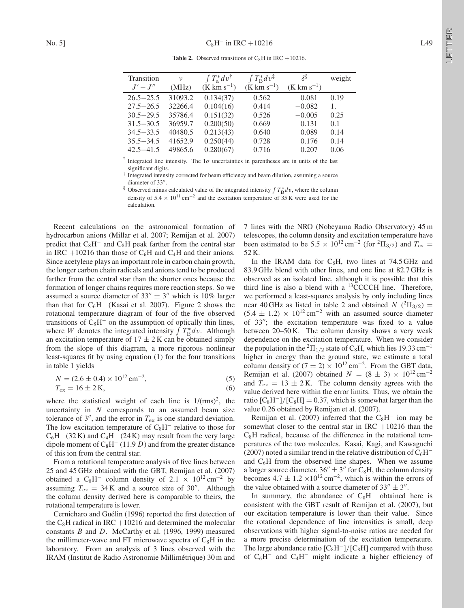**Table 2.** Observed transitions of  $C_8H$  in IRC +10216.

|                                                                                                | Transition    | $\upsilon$ | $\int T_a^* dv^{\dagger}$           | $\int T_{\rm B}^* dv^{\ddagger}$ | δŠ                    | weight |  |
|------------------------------------------------------------------------------------------------|---------------|------------|-------------------------------------|----------------------------------|-----------------------|--------|--|
|                                                                                                | $J'-J''$      | (MHz)      | $(K \, \text{km} \, \text{s}^{-1})$ | $(K \, km \, s^{-1})$            | $(K \, km \, s^{-1})$ |        |  |
|                                                                                                | $26.5 - 25.5$ | 31093.2    | 0.134(37)                           | 0.562                            | 0.081                 | 0.19   |  |
|                                                                                                | $27.5 - 26.5$ | 32266.4    | 0.104(16)                           | 0.414                            | $-0.082$              | 1.     |  |
|                                                                                                | $30.5 - 29.5$ | 35786.4    | 0.151(32)                           | 0.526                            | $-0.005$              | 0.25   |  |
|                                                                                                | $31.5 - 30.5$ | 36959.7    | 0.200(50)                           | 0.669                            | 0.131                 | 0.1    |  |
|                                                                                                | $34.5 - 33.5$ | 40480.5    | 0.213(43)                           | 0.640                            | 0.089                 | 0.14   |  |
|                                                                                                | $35.5 - 34.5$ | 41652.9    | 0.250(44)                           | 0.728                            | 0.176                 | 0.14   |  |
|                                                                                                | $42.5 - 41.5$ | 49865.6    | 0.280(67)                           | 0.716                            | 0.207                 | 0.06   |  |
| Integrated line intensity. The $1\sigma$ uncertainties in parentheses are in units of the last |               |            |                                     |                                  |                       |        |  |

significant digits.

 $\frac{1}{3}$  Integrated intensity corrected for beam efficiency and beam dilution, assuming a source

diameter of 33".<br>
S Observed minus calculated value of the integrated intensity  $\int T_{\rm B}^* dv$ , where the column density of  $5.4 \times 10^{11}$  cm<sup>-2</sup> and the excitation temperature of  $35$  K were used for the calculation.

Recent calculations on the astronomical formation of hydrocarbon anions (Millar et al. 2007; Remijan et al. 2007) predict that  $C_8H^-$  and  $C_8H$  peak farther from the central star in IRC +10216 than those of  $C_6H$  and  $C_4H$  and their anions. Since acetylene plays an important role in carbon chain growth, the longer carbon chain radicals and anions tend to be produced farther from the central star than the shorter ones because the formation of longer chains requires more reaction steps. So we assumed a source diameter of  $33'' \pm 3''$  which is 10% larger than that for  $C_6H^-$  (Kasai et al. 2007). Figure 2 shows the rotational temperature diagram of four of the five observed transitions of  $C_8H^-$  on the assumption of optically thin lines, where W denotes the integrated intensity  $\int T_B^* dv$ . Although an excitation temperature of  $17 + 2$  K can be obtained simply an excitation temperature of  $17 \pm 2$  K can be obtained simply from the slope of this diagram, a more rigorous nonlinear least-squares fit by using equation (1) for the four transitions in table 1 yields

$$
N = (2.6 \pm 0.4) \times 10^{12} \text{ cm}^{-2},
$$
  
(5)  

$$
T_{\text{ex}} = 16 \pm 2 \text{ K},
$$
  
(6)

where the statistical weight of each line is  $1/(rms)^2$ , the uncertainty in  $N$  corresponds to an assumed beam size tolerance of 3", and the error in  $T_{ex}$  is one standard deviation. The low excitation temperature of  $C_8H^-$  relative to those for  $C_6H^-$  (32 K) and  $C_4H^-$  (24 K) may result from the very large dipole moment of  $C_8H^-$  (11.9 D) and from the greater distance of this ion from the central star.

From a rotational temperature analysis of five lines between 25 and 45 GHz obtained with the GBT, Remijan et al. (2007) obtained a C<sub>8</sub>H<sup>-</sup> column density of 2.1  $\times$  10<sup>12</sup> cm<sup>-2</sup> by assuming  $T_{\rm ex} = 34$ K and a source size of 30". Although the column density derived here is comparable to theirs, the rotational temperature is lower.

Cernicharo and Guélin (1996) reported the first detection of the  $C_8H$  radical in IRC +10216 and determined the molecular constants  $B$  and  $D$ . McCarthy et al. (1996, 1999) measured the millimeter-wave and FT microwave spectra of  $C_8H$  in the laboratory. From an analysis of 3 lines observed with the IRAM (Institut de Radio Astronomie Millimétrique) 30 m and 7 lines with the NRO (Nobeyama Radio Observatory) 45 m telescopes, the column density and excitation temperature have been estimated to be 5.5  $\times$  10<sup>12</sup> cm<sup>-2</sup> (for <sup>2</sup> $\Pi_{3/2}$ ) and  $T_{ex}$  = 52 K.

In the IRAM data for  $C_8H$ , two lines at 74.5 GHz and 83.9 GHz blend with other lines, and one line at 82.7 GHz is observed as an isolated line, although it is possible that this third line is also a blend with a  ${}^{13}$ CCCCH line. Therefore, we performed a least-squares analysis by only including lines near 40 GHz as listed in table 2 and obtained  $N({}^2\Pi_{3/2}) =$ <br>(5.4 + 1.2)  $\times$  10<sup>12</sup> cm<sup>-2</sup> with an essumed source diameter  $(5.4 \pm 1.2) \times 10^{12}$  cm<sup>-2</sup> with an assumed source diameter of  $33''$ ; the excitation temperature was fixed to a value between 20–50 K. The column density shows a very weak dependence on the excitation temperature. When we consider the population in the  ${}^{2}$  $\Pi_{1/2}$  state of C<sub>8</sub>H, which lies 19.33 cm<sup>-1</sup> higher in energy than the ground state, we estimate a total column density of  $(7 \pm 2) \times 10^{12}$  cm<sup>-2</sup>. From the GBT data, Remijan et al. (2007) obtained  $N = (8 \pm 3) \times 10^{12} \text{ cm}^{-2}$ and  $T_{ex} = 13 \pm 2$  K. The column density agrees with the value derived here within the error limits. Thus, we obtain the ratio  $[C_8H^-]/[C_8H] = 0.37$ , which is somewhat larger than the value 0.26 obtained by Remijan et al. (2007).

Remijan et al. (2007) inferred that the  $C_8H^-$  ion may be somewhat closer to the central star in IRC  $+10216$  than the  $C_8H$  radical, because of the difference in the rotational temperatures of the two molecules. Kasai, Kagi, and Kawaguchi (2007) noted a similar trend in the relative distribution of  $C_6H^$ and  $C_6H$  from the observed line shapes. When we assume a larger source diameter,  $36'' \pm 3''$  for C<sub>8</sub>H, the column density becomes  $4.7 \pm 1.2 \times 10^{12}$  cm<sup>-2</sup>, which is within the errors of the value obtained with a source diameter of  $33'' \pm 3''$ .

In summary, the abundance of  $C_8H^-$  obtained here is consistent with the GBT result of Remijan et al. (2007), but our excitation temperature is lower than their value. Since the rotational dependence of line intensities is small, deep observations with higher signal-to-noise ratios are needed for a more precise determination of the excitation temperature. The large abundance ratio  $[C_8H^-]/[C_8H]$  compared with those of  $C_6H^-$  and  $C_4H^-$  might indicate a higher efficiency of **SELLEY** LETTER